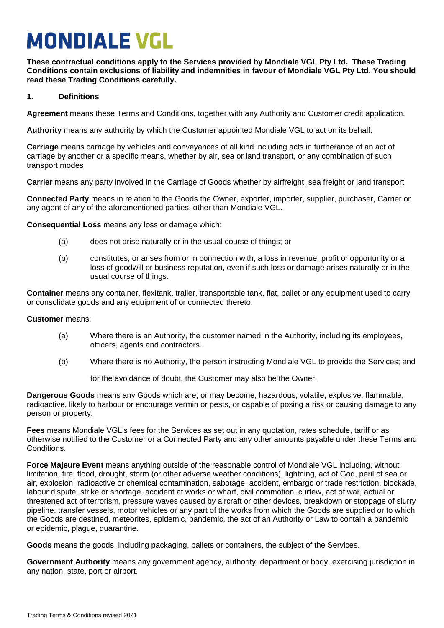# **MONDIALE VGL**

**These contractual conditions apply to the Services provided by Mondiale VGL Pty Ltd. These Trading Conditions contain exclusions of liability and indemnities in favour of Mondiale VGL Pty Ltd. You should read these Trading Conditions carefully.**

# **1. Definitions**

**Agreement** means these Terms and Conditions, together with any Authority and Customer credit application.

**Authority** means any authority by which the Customer appointed Mondiale VGL to act on its behalf.

**Carriage** means carriage by vehicles and conveyances of all kind including acts in furtherance of an act of carriage by another or a specific means, whether by air, sea or land transport, or any combination of such transport modes

**Carrier** means any party involved in the Carriage of Goods whether by airfreight, sea freight or land transport

**Connected Party** means in relation to the Goods the Owner, exporter, importer, supplier, purchaser, Carrier or any agent of any of the aforementioned parties, other than Mondiale VGL.

**Consequential Loss** means any loss or damage which:

- (a) does not arise naturally or in the usual course of things; or
- (b) constitutes, or arises from or in connection with, a loss in revenue, profit or opportunity or a loss of goodwill or business reputation, even if such loss or damage arises naturally or in the usual course of things.

**Container** means any container, flexitank, trailer, transportable tank, flat, pallet or any equipment used to carry or consolidate goods and any equipment of or connected thereto.

**Customer** means:

- (a) Where there is an Authority, the customer named in the Authority, including its employees, officers, agents and contractors.
- (b) Where there is no Authority, the person instructing Mondiale VGL to provide the Services; and

for the avoidance of doubt, the Customer may also be the Owner.

**Dangerous Goods** means any Goods which are, or may become, hazardous, volatile, explosive, flammable, radioactive, likely to harbour or encourage vermin or pests, or capable of posing a risk or causing damage to any person or property.

**Fees** means Mondiale VGL's fees for the Services as set out in any quotation, rates schedule, tariff or as otherwise notified to the Customer or a Connected Party and any other amounts payable under these Terms and Conditions.

**Force Majeure Event** means anything outside of the reasonable control of Mondiale VGL including, without limitation, fire, flood, drought, storm (or other adverse weather conditions), lightning, act of God, peril of sea or air, explosion, radioactive or chemical contamination, sabotage, accident, embargo or trade restriction, blockade, labour dispute, strike or shortage, accident at works or wharf, civil commotion, curfew, act of war, actual or threatened act of terrorism, pressure waves caused by aircraft or other devices, breakdown or stoppage of slurry pipeline, transfer vessels, motor vehicles or any part of the works from which the Goods are supplied or to which the Goods are destined, meteorites, epidemic, pandemic, the act of an Authority or Law to contain a pandemic or epidemic, plague, quarantine.

**Goods** means the goods, including packaging, pallets or containers, the subject of the Services.

**Government Authority** means any government agency, authority, department or body, exercising jurisdiction in any nation, state, port or airport.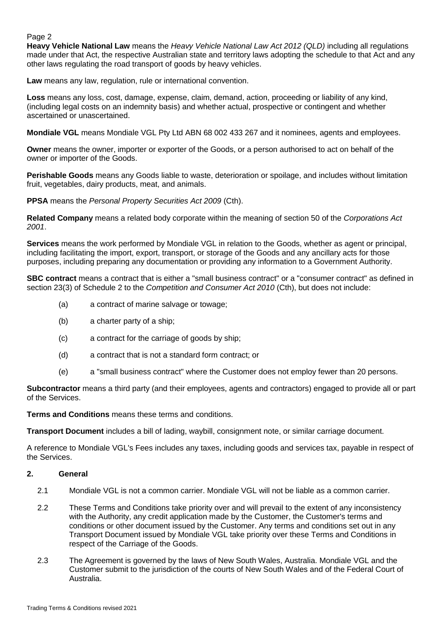**Heavy Vehicle National Law** means the *Heavy Vehicle National Law Act 2012 (QLD)* including all regulations made under that Act, the respective Australian state and territory laws adopting the schedule to that Act and any other laws regulating the road transport of goods by heavy vehicles.

**Law** means any law, regulation, rule or international convention.

**Loss** means any loss, cost, damage, expense, claim, demand, action, proceeding or liability of any kind, (including legal costs on an indemnity basis) and whether actual, prospective or contingent and whether ascertained or unascertained.

**Mondiale VGL** means Mondiale VGL Pty Ltd ABN 68 002 433 267 and it nominees, agents and employees.

**Owner** means the owner, importer or exporter of the Goods, or a person authorised to act on behalf of the owner or importer of the Goods.

**Perishable Goods** means any Goods liable to waste, deterioration or spoilage, and includes without limitation fruit, vegetables, dairy products, meat, and animals.

**PPSA** means the *Personal Property Securities Act 2009* (Cth).

**Related Company** means a related body corporate within the meaning of section 50 of the *Corporations Act 2001*.

**Services** means the work performed by Mondiale VGL in relation to the Goods, whether as agent or principal, including facilitating the import, export, transport, or storage of the Goods and any ancillary acts for those purposes, including preparing any documentation or providing any information to a Government Authority.

**SBC contract** means a contract that is either a "small business contract" or a "consumer contract" as defined in section 23(3) of Schedule 2 to the *Competition and Consumer Act 2010* (Cth), but does not include:

- (a) a contract of marine salvage or towage;
- (b) a charter party of a ship;
- (c) a contract for the carriage of goods by ship;
- (d) a contract that is not a standard form contract; or
- (e) a "small business contract" where the Customer does not employ fewer than 20 persons.

**Subcontractor** means a third party (and their employees, agents and contractors) engaged to provide all or part of the Services.

**Terms and Conditions** means these terms and conditions.

**Transport Document** includes a bill of lading, waybill, consignment note, or similar carriage document.

A reference to Mondiale VGL's Fees includes any taxes, including goods and services tax, payable in respect of the Services.

### **2. General**

- 2.1 Mondiale VGL is not a common carrier. Mondiale VGL will not be liable as a common carrier.
- 2.2 These Terms and Conditions take priority over and will prevail to the extent of any inconsistency with the Authority, any credit application made by the Customer, the Customer's terms and conditions or other document issued by the Customer. Any terms and conditions set out in any Transport Document issued by Mondiale VGL take priority over these Terms and Conditions in respect of the Carriage of the Goods.
- 2.3 The Agreement is governed by the laws of New South Wales, Australia. Mondiale VGL and the Customer submit to the jurisdiction of the courts of New South Wales and of the Federal Court of Australia.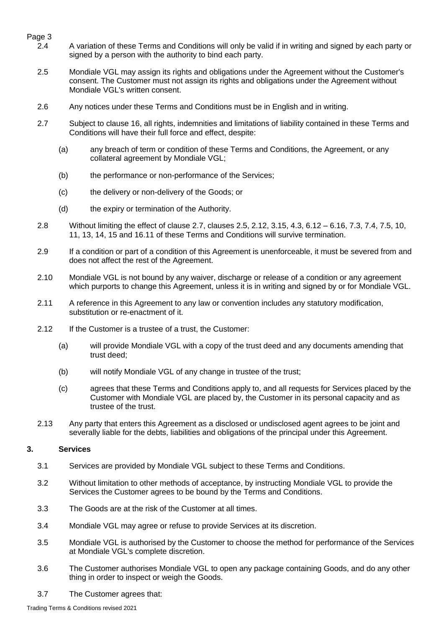- 2.4 A variation of these Terms and Conditions will only be valid if in writing and signed by each party or signed by a person with the authority to bind each party.
- <span id="page-2-1"></span>2.5 Mondiale VGL may assign its rights and obligations under the Agreement without the Customer's consent. The Customer must not assign its rights and obligations under the Agreement without Mondiale VGL's written consent.
- 2.6 Any notices under these Terms and Conditions must be in English and in writing.
- <span id="page-2-0"></span>2.7 Subject to clause [16,](#page-11-0) all rights, indemnities and limitations of liability contained in these Terms and Conditions will have their full force and effect, despite:
	- (a) any breach of term or condition of these Terms and Conditions, the Agreement, or any collateral agreement by Mondiale VGL;
	- (b) the performance or non-performance of the Services;
	- (c) the delivery or non-delivery of the Goods; or
	- (d) the expiry or termination of the Authority.
- 2.8 Without limiting the effect of clause [2.7,](#page-2-0) clauses [2.5,](#page-2-1) 2.12, [3.15,](#page-3-0) 4.3, 6.12 6.16, [7.3,](#page-5-0) [7.4,](#page-5-1) [7.5,](#page-5-2) 10, 11, [13,](#page-10-0) [14,](#page-10-1) [15](#page-11-1) and 16.11 of these Terms and Conditions will survive termination.
- 2.9 If a condition or part of a condition of this Agreement is unenforceable, it must be severed from and does not affect the rest of the Agreement.
- 2.10 Mondiale VGL is not bound by any waiver, discharge or release of a condition or any agreement which purports to change this Agreement, unless it is in writing and signed by or for Mondiale VGL.
- 2.11 A reference in this Agreement to any law or convention includes any statutory modification, substitution or re-enactment of it.
- 2.12 If the Customer is a trustee of a trust, the Customer:
	- (a) will provide Mondiale VGL with a copy of the trust deed and any documents amending that trust deed;
	- (b) will notify Mondiale VGL of any change in trustee of the trust;
	- (c) agrees that these Terms and Conditions apply to, and all requests for Services placed by the Customer with Mondiale VGL are placed by, the Customer in its personal capacity and as trustee of the trust.
- 2.13 Any party that enters this Agreement as a disclosed or undisclosed agent agrees to be joint and severally liable for the debts, liabilities and obligations of the principal under this Agreement.

# **3. Services**

- 3.1 Services are provided by Mondiale VGL subject to these Terms and Conditions.
- 3.2 Without limitation to other methods of acceptance, by instructing Mondiale VGL to provide the Services the Customer agrees to be bound by the Terms and Conditions.
- 3.3 The Goods are at the risk of the Customer at all times.
- 3.4 Mondiale VGL may agree or refuse to provide Services at its discretion.
- 3.5 Mondiale VGL is authorised by the Customer to choose the method for performance of the Services at Mondiale VGL's complete discretion.
- 3.6 The Customer authorises Mondiale VGL to open any package containing Goods, and do any other thing in order to inspect or weigh the Goods.
- 3.7 The Customer agrees that: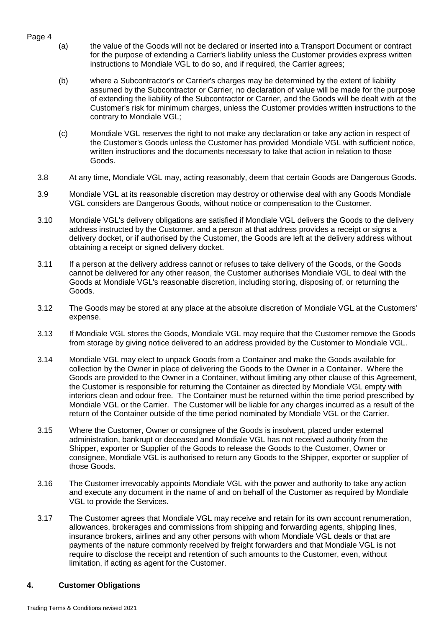- Page 4
- (a) the value of the Goods will not be declared or inserted into a Transport Document or contract for the purpose of extending a Carrier's liability unless the Customer provides express written instructions to Mondiale VGL to do so, and if required, the Carrier agrees;
- (b) where a Subcontractor's or Carrier's charges may be determined by the extent of liability assumed by the Subcontractor or Carrier, no declaration of value will be made for the purpose of extending the liability of the Subcontractor or Carrier, and the Goods will be dealt with at the Customer's risk for minimum charges, unless the Customer provides written instructions to the contrary to Mondiale VGL;
- (c) Mondiale VGL reserves the right to not make any declaration or take any action in respect of the Customer's Goods unless the Customer has provided Mondiale VGL with sufficient notice, written instructions and the documents necessary to take that action in relation to those Goods.
- 3.8 At any time, Mondiale VGL may, acting reasonably, deem that certain Goods are Dangerous Goods.
- 3.9 Mondiale VGL at its reasonable discretion may destroy or otherwise deal with any Goods Mondiale VGL considers are Dangerous Goods, without notice or compensation to the Customer.
- 3.10 Mondiale VGL's delivery obligations are satisfied if Mondiale VGL delivers the Goods to the delivery address instructed by the Customer, and a person at that address provides a receipt or signs a delivery docket, or if authorised by the Customer, the Goods are left at the delivery address without obtaining a receipt or signed delivery docket.
- 3.11 If a person at the delivery address cannot or refuses to take delivery of the Goods, or the Goods cannot be delivered for any other reason, the Customer authorises Mondiale VGL to deal with the Goods at Mondiale VGL's reasonable discretion, including storing, disposing of, or returning the Goods.
- <span id="page-3-1"></span>3.12 The Goods may be stored at any place at the absolute discretion of Mondiale VGL at the Customers' expense.
- 3.13 If Mondiale VGL stores the Goods, Mondiale VGL may require that the Customer remove the Goods from storage by giving notice delivered to an address provided by the Customer to Mondiale VGL.
- 3.14 Mondiale VGL may elect to unpack Goods from a Container and make the Goods available for collection by the Owner in place of delivering the Goods to the Owner in a Container. Where the Goods are provided to the Owner in a Container, without limiting any other clause of this Agreement, the Customer is responsible for returning the Container as directed by Mondiale VGL empty with interiors clean and odour free. The Container must be returned within the time period prescribed by Mondiale VGL or the Carrier. The Customer will be liable for any charges incurred as a result of the return of the Container outside of the time period nominated by Mondiale VGL or the Carrier.
- <span id="page-3-0"></span>3.15 Where the Customer, Owner or consignee of the Goods is insolvent, placed under external administration, bankrupt or deceased and Mondiale VGL has not received authority from the Shipper, exporter or Supplier of the Goods to release the Goods to the Customer, Owner or consignee, Mondiale VGL is authorised to return any Goods to the Shipper, exporter or supplier of those Goods.
- 3.16 The Customer irrevocably appoints Mondiale VGL with the power and authority to take any action and execute any document in the name of and on behalf of the Customer as required by Mondiale VGL to provide the Services.
- 3.17 The Customer agrees that Mondiale VGL may receive and retain for its own account renumeration, allowances, brokerages and commissions from shipping and forwarding agents, shipping lines, insurance brokers, airlines and any other persons with whom Mondiale VGL deals or that are payments of the nature commonly received by freight forwarders and that Mondiale VGL is not require to disclose the receipt and retention of such amounts to the Customer, even, without limitation, if acting as agent for the Customer.

### **4. Customer Obligations**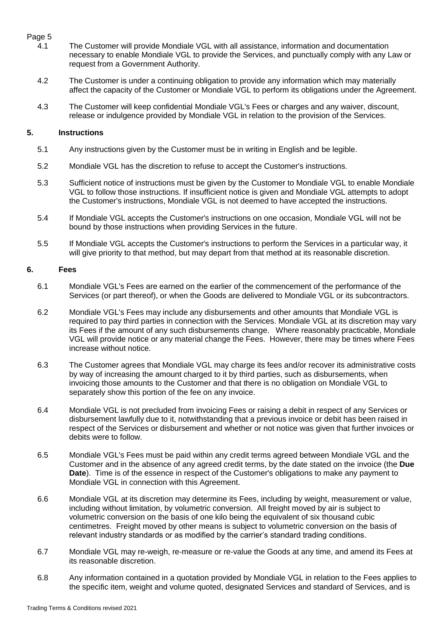- 4.1 The Customer will provide Mondiale VGL with all assistance, information and documentation necessary to enable Mondiale VGL to provide the Services, and punctually comply with any Law or request from a Government Authority.
- 4.2 The Customer is under a continuing obligation to provide any information which may materially affect the capacity of the Customer or Mondiale VGL to perform its obligations under the Agreement.
- 4.3 The Customer will keep confidential Mondiale VGL's Fees or charges and any waiver, discount, release or indulgence provided by Mondiale VGL in relation to the provision of the Services.

### **5. Instructions**

- 5.1 Any instructions given by the Customer must be in writing in English and be legible.
- 5.2 Mondiale VGL has the discretion to refuse to accept the Customer's instructions.
- 5.3 Sufficient notice of instructions must be given by the Customer to Mondiale VGL to enable Mondiale VGL to follow those instructions. If insufficient notice is given and Mondiale VGL attempts to adopt the Customer's instructions, Mondiale VGL is not deemed to have accepted the instructions.
- 5.4 If Mondiale VGL accepts the Customer's instructions on one occasion, Mondiale VGL will not be bound by those instructions when providing Services in the future.
- 5.5 If Mondiale VGL accepts the Customer's instructions to perform the Services in a particular way, it will give priority to that method, but may depart from that method at its reasonable discretion.

#### **6. Fees**

- <span id="page-4-0"></span>6.1 Mondiale VGL's Fees are earned on the earlier of the commencement of the performance of the Services (or part thereof), or when the Goods are delivered to Mondiale VGL or its subcontractors.
- 6.2 Mondiale VGL's Fees may include any disbursements and other amounts that Mondiale VGL is required to pay third parties in connection with the Services. Mondiale VGL at its discretion may vary its Fees if the amount of any such disbursements change. Where reasonably practicable, Mondiale VGL will provide notice or any material change the Fees. However, there may be times where Fees increase without notice.
- 6.3 The Customer agrees that Mondiale VGL may charge its fees and/or recover its administrative costs by way of increasing the amount charged to it by third parties, such as disbursements, when invoicing those amounts to the Customer and that there is no obligation on Mondiale VGL to separately show this portion of the fee on any invoice.
- 6.4 Mondiale VGL is not precluded from invoicing Fees or raising a debit in respect of any Services or disbursement lawfully due to it, notwithstanding that a previous invoice or debit has been raised in respect of the Services or disbursement and whether or not notice was given that further invoices or debits were to follow.
- 6.5 Mondiale VGL's Fees must be paid within any credit terms agreed between Mondiale VGL and the Customer and in the absence of any agreed credit terms, by the date stated on the invoice (the **Due Date**). Time is of the essence in respect of the Customer's obligations to make any payment to Mondiale VGL in connection with this Agreement.
- <span id="page-4-1"></span>6.6 Mondiale VGL at its discretion may determine its Fees, including by weight, measurement or value, including without limitation, by volumetric conversion. All freight moved by air is subject to volumetric conversion on the basis of one kilo being the equivalent of six thousand cubic centimetres. Freight moved by other means is subject to volumetric conversion on the basis of relevant industry standards or as modified by the carrier's standard trading conditions.
- <span id="page-4-2"></span>6.7 Mondiale VGL may re-weigh, re-measure or re-value the Goods at any time, and amend its Fees at its reasonable discretion.
- 6.8 Any information contained in a quotation provided by Mondiale VGL in relation to the Fees applies to the specific item, weight and volume quoted, designated Services and standard of Services, and is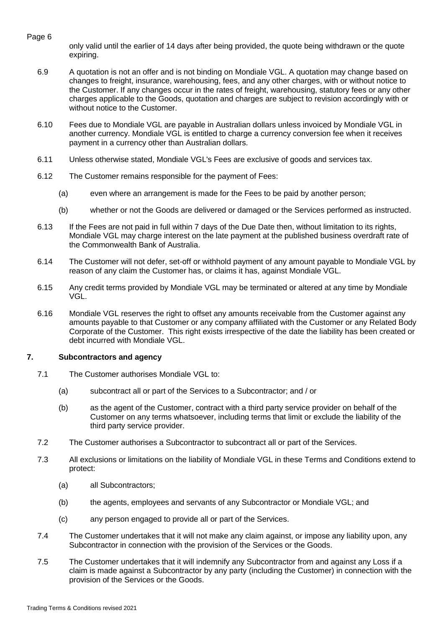only valid until the earlier of 14 days after being provided, the quote being withdrawn or the quote expiring.

- 6.9 A quotation is not an offer and is not binding on Mondiale VGL. A quotation may change based on changes to freight, insurance, warehousing, fees, and any other charges, with or without notice to the Customer. If any changes occur in the rates of freight, warehousing, statutory fees or any other charges applicable to the Goods, quotation and charges are subject to revision accordingly with or without notice to the Customer.
- 6.10 Fees due to Mondiale VGL are payable in Australian dollars unless invoiced by Mondiale VGL in another currency. Mondiale VGL is entitled to charge a currency conversion fee when it receives payment in a currency other than Australian dollars.
- 6.11 Unless otherwise stated, Mondiale VGL's Fees are exclusive of goods and services tax.
- 6.12 The Customer remains responsible for the payment of Fees:
	- (a) even where an arrangement is made for the Fees to be paid by another person;
	- (b) whether or not the Goods are delivered or damaged or the Services performed as instructed.
- 6.13 If the Fees are not paid in full within 7 days of the Due Date then, without limitation to its rights, Mondiale VGL may charge interest on the late payment at the published business overdraft rate of the Commonwealth Bank of Australia.
- 6.14 The Customer will not defer, set-off or withhold payment of any amount payable to Mondiale VGL by reason of any claim the Customer has, or claims it has, against Mondiale VGL.
- 6.15 Any credit terms provided by Mondiale VGL may be terminated or altered at any time by Mondiale VGL.
- 6.16 Mondiale VGL reserves the right to offset any amounts receivable from the Customer against any amounts payable to that Customer or any company affiliated with the Customer or any Related Body Corporate of the Customer. This right exists irrespective of the date the liability has been created or debt incurred with Mondiale VGL.

### **7. Subcontractors and agency**

- 7.1 The Customer authorises Mondiale VGL to:
	- (a) subcontract all or part of the Services to a Subcontractor; and / or
	- (b) as the agent of the Customer, contract with a third party service provider on behalf of the Customer on any terms whatsoever, including terms that limit or exclude the liability of the third party service provider.
- 7.2 The Customer authorises a Subcontractor to subcontract all or part of the Services.
- <span id="page-5-0"></span>7.3 All exclusions or limitations on the liability of Mondiale VGL in these Terms and Conditions extend to protect:
	- (a) all Subcontractors;
	- (b) the agents, employees and servants of any Subcontractor or Mondiale VGL; and
	- (c) any person engaged to provide all or part of the Services.
- <span id="page-5-1"></span>7.4 The Customer undertakes that it will not make any claim against, or impose any liability upon, any Subcontractor in connection with the provision of the Services or the Goods.
- <span id="page-5-2"></span>7.5 The Customer undertakes that it will indemnify any Subcontractor from and against any Loss if a claim is made against a Subcontractor by any party (including the Customer) in connection with the provision of the Services or the Goods.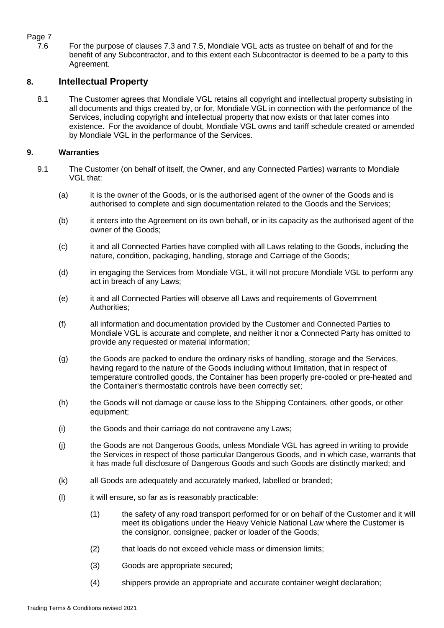# Page 7<br>7.6

For the purpose of clauses [7.3](#page-5-0) and [7.5,](#page-5-2) Mondiale VGL acts as trustee on behalf of and for the benefit of any Subcontractor, and to this extent each Subcontractor is deemed to be a party to this Agreement.

# **8. Intellectual Property**

8.1 The Customer agrees that Mondiale VGL retains all copyright and intellectual property subsisting in all documents and thigs created by, or for, Mondiale VGL in connection with the performance of the Services, including copyright and intellectual property that now exists or that later comes into existence. For the avoidance of doubt, Mondiale VGL owns and tariff schedule created or amended by Mondiale VGL in the performance of the Services.

## **9. Warranties**

- 9.1 The Customer (on behalf of itself, the Owner, and any Connected Parties) warrants to Mondiale VGL that:
	- (a) it is the owner of the Goods, or is the authorised agent of the owner of the Goods and is authorised to complete and sign documentation related to the Goods and the Services;
	- (b) it enters into the Agreement on its own behalf, or in its capacity as the authorised agent of the owner of the Goods;
	- (c) it and all Connected Parties have complied with all Laws relating to the Goods, including the nature, condition, packaging, handling, storage and Carriage of the Goods;
	- (d) in engaging the Services from Mondiale VGL, it will not procure Mondiale VGL to perform any act in breach of any Laws;
	- (e) it and all Connected Parties will observe all Laws and requirements of Government Authorities;
	- (f) all information and documentation provided by the Customer and Connected Parties to Mondiale VGL is accurate and complete, and neither it nor a Connected Party has omitted to provide any requested or material information;
	- (g) the Goods are packed to endure the ordinary risks of handling, storage and the Services, having regard to the nature of the Goods including without limitation, that in respect of temperature controlled goods, the Container has been properly pre-cooled or pre-heated and the Container's thermostatic controls have been correctly set;
	- (h) the Goods will not damage or cause loss to the Shipping Containers, other goods, or other equipment;
	- (i) the Goods and their carriage do not contravene any Laws;
	- (j) the Goods are not Dangerous Goods, unless Mondiale VGL has agreed in writing to provide the Services in respect of those particular Dangerous Goods, and in which case, warrants that it has made full disclosure of Dangerous Goods and such Goods are distinctly marked; and
	- (k) all Goods are adequately and accurately marked, labelled or branded;
	- (l) it will ensure, so far as is reasonably practicable:
		- (1) the safety of any road transport performed for or on behalf of the Customer and it will meet its obligations under the Heavy Vehicle National Law where the Customer is the consignor, consignee, packer or loader of the Goods;
		- (2) that loads do not exceed vehicle mass or dimension limits;
		- (3) Goods are appropriate secured;
		- (4) shippers provide an appropriate and accurate container weight declaration;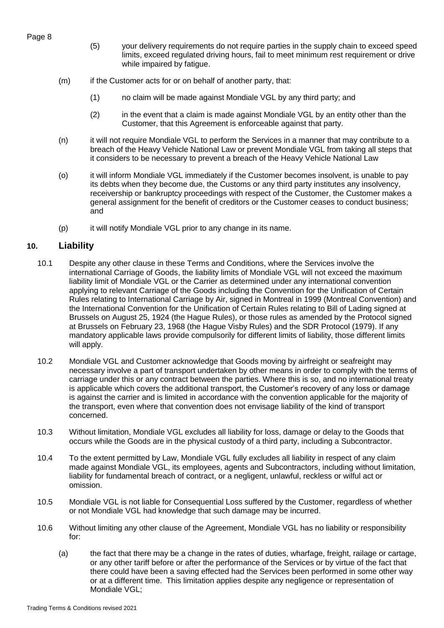- (5) your delivery requirements do not require parties in the supply chain to exceed speed limits, exceed regulated driving hours, fail to meet minimum rest requirement or drive while impaired by fatigue.
- (m) if the Customer acts for or on behalf of another party, that:
	- (1) no claim will be made against Mondiale VGL by any third party; and
	- (2) in the event that a claim is made against Mondiale VGL by an entity other than the Customer, that this Agreement is enforceable against that party.
- (n) it will not require Mondiale VGL to perform the Services in a manner that may contribute to a breach of the Heavy Vehicle National Law or prevent Mondiale VGL from taking all steps that it considers to be necessary to prevent a breach of the Heavy Vehicle National Law
- (o) it will inform Mondiale VGL immediately if the Customer becomes insolvent, is unable to pay its debts when they become due, the Customs or any third party institutes any insolvency, receivership or bankruptcy proceedings with respect of the Customer, the Customer makes a general assignment for the benefit of creditors or the Customer ceases to conduct business; and
- (p) it will notify Mondiale VGL prior to any change in its name.

# **10. Liability**

- 10.1 Despite any other clause in these Terms and Conditions, where the Services involve the international Carriage of Goods, the liability limits of Mondiale VGL will not exceed the maximum liability limit of Mondiale VGL or the Carrier as determined under any international convention applying to relevant Carriage of the Goods including the Convention for the Unification of Certain Rules relating to International Carriage by Air, signed in Montreal in 1999 (Montreal Convention) and the International Convention for the Unification of Certain Rules relating to Bill of Lading signed at Brussels on August 25, 1924 (the Hague Rules), or those rules as amended by the Protocol signed at Brussels on February 23, 1968 (the Hague Visby Rules) and the SDR Protocol (1979). If any mandatory applicable laws provide compulsorily for different limits of liability, those different limits will apply.
- 10.2 Mondiale VGL and Customer acknowledge that Goods moving by airfreight or seafreight may necessary involve a part of transport undertaken by other means in order to comply with the terms of carriage under this or any contract between the parties. Where this is so, and no international treaty is applicable which covers the additional transport, the Customer's recovery of any loss or damage is against the carrier and is limited in accordance with the convention applicable for the majority of the transport, even where that convention does not envisage liability of the kind of transport concerned.
- 10.3 Without limitation, Mondiale VGL excludes all liability for loss, damage or delay to the Goods that occurs while the Goods are in the physical custody of a third party, including a Subcontractor.
- 10.4 To the extent permitted by Law, Mondiale VGL fully excludes all liability in respect of any claim made against Mondiale VGL, its employees, agents and Subcontractors, including without limitation, liability for fundamental breach of contract, or a negligent, unlawful, reckless or wilful act or omission.
- 10.5 Mondiale VGL is not liable for Consequential Loss suffered by the Customer, regardless of whether or not Mondiale VGL had knowledge that such damage may be incurred.
- 10.6 Without limiting any other clause of the Agreement, Mondiale VGL has no liability or responsibility for:
	- (a) the fact that there may be a change in the rates of duties, wharfage, freight, railage or cartage, or any other tariff before or after the performance of the Services or by virtue of the fact that there could have been a saving effected had the Services been performed in some other way or at a different time. This limitation applies despite any negligence or representation of Mondiale VGL;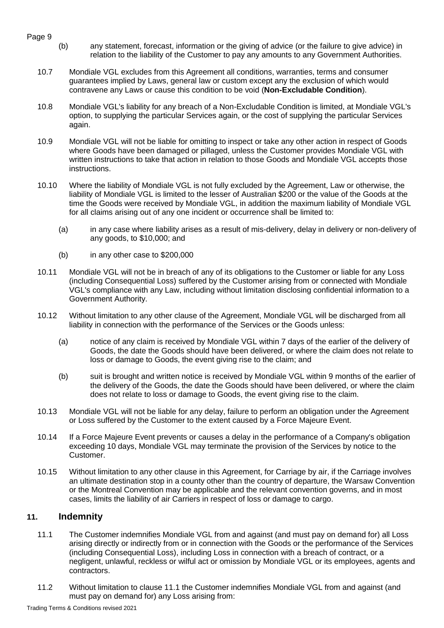- <span id="page-8-0"></span>Page 9
	- (b) any statement, forecast, information or the giving of advice (or the failure to give advice) in relation to the liability of the Customer to pay any amounts to any Government Authorities.
	- 10.7 Mondiale VGL excludes from this Agreement all conditions, warranties, terms and consumer guarantees implied by Laws, general law or custom except any the exclusion of which would contravene any Laws or cause this condition to be void (**Non-Excludable Condition**).
	- 10.8 Mondiale VGL's liability for any breach of a Non-Excludable Condition is limited, at Mondiale VGL's option, to supplying the particular Services again, or the cost of supplying the particular Services again.
	- 10.9 Mondiale VGL will not be liable for omitting to inspect or take any other action in respect of Goods where Goods have been damaged or pillaged, unless the Customer provides Mondiale VGL with written instructions to take that action in relation to those Goods and Mondiale VGL accepts those instructions.
	- 10.10 Where the liability of Mondiale VGL is not fully excluded by the Agreement, Law or otherwise, the liability of Mondiale VGL is limited to the lesser of Australian \$200 or the value of the Goods at the time the Goods were received by Mondiale VGL, in addition the maximum liability of Mondiale VGL for all claims arising out of any one incident or occurrence shall be limited to:
		- (a) in any case where liability arises as a result of mis-delivery, delay in delivery or non-delivery of any goods, to \$10,000; and
		- (b) in any other case to \$200,000
	- 10.11 Mondiale VGL will not be in breach of any of its obligations to the Customer or liable for any Loss (including Consequential Loss) suffered by the Customer arising from or connected with Mondiale VGL's compliance with any Law, including without limitation disclosing confidential information to a Government Authority.
	- 10.12 Without limitation to any other clause of the Agreement, Mondiale VGL will be discharged from all liability in connection with the performance of the Services or the Goods unless:
		- (a) notice of any claim is received by Mondiale VGL within 7 days of the earlier of the delivery of Goods, the date the Goods should have been delivered, or where the claim does not relate to loss or damage to Goods, the event giving rise to the claim; and
		- (b) suit is brought and written notice is received by Mondiale VGL within 9 months of the earlier of the delivery of the Goods, the date the Goods should have been delivered, or where the claim does not relate to loss or damage to Goods, the event giving rise to the claim.
	- 10.13 Mondiale VGL will not be liable for any delay, failure to perform an obligation under the Agreement or Loss suffered by the Customer to the extent caused by a Force Majeure Event.
	- 10.14 If a Force Majeure Event prevents or causes a delay in the performance of a Company's obligation exceeding 10 days, Mondiale VGL may terminate the provision of the Services by notice to the Customer.
	- 10.15 Without limitation to any other clause in this Agreement, for Carriage by air, if the Carriage involves an ultimate destination stop in a county other than the country of departure, the Warsaw Convention or the Montreal Convention may be applicable and the relevant convention governs, and in most cases, limits the liability of air Carriers in respect of loss or damage to cargo.

# <span id="page-8-1"></span>**11. Indemnity**

- 11.1 The Customer indemnifies Mondiale VGL from and against (and must pay on demand for) all Loss arising directly or indirectly from or in connection with the Goods or the performance of the Services (including Consequential Loss), including Loss in connection with a breach of contract, or a negligent, unlawful, reckless or wilful act or omission by Mondiale VGL or its employees, agents and contractors.
- 11.2 Without limitation to clause 11.1 the Customer indemnifies Mondiale VGL from and against (and must pay on demand for) any Loss arising from: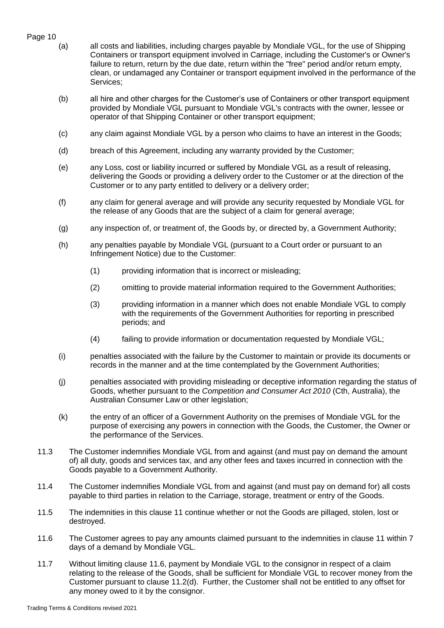- Page 10
	- (a) all costs and liabilities, including charges payable by Mondiale VGL, for the use of Shipping Containers or transport equipment involved in Carriage, including the Customer's or Owner's failure to return, return by the due date, return within the "free" period and/or return empty, clean, or undamaged any Container or transport equipment involved in the performance of the Services;
	- (b) all hire and other charges for the Customer's use of Containers or other transport equipment provided by Mondiale VGL pursuant to Mondiale VGL's contracts with the owner, lessee or operator of that Shipping Container or other transport equipment;
	- (c) any claim against Mondiale VGL by a person who claims to have an interest in the Goods;
	- (d) breach of this Agreement, including any warranty provided by the Customer;
	- (e) any Loss, cost or liability incurred or suffered by Mondiale VGL as a result of releasing, delivering the Goods or providing a delivery order to the Customer or at the direction of the Customer or to any party entitled to delivery or a delivery order;
	- (f) any claim for general average and will provide any security requested by Mondiale VGL for the release of any Goods that are the subject of a claim for general average;
	- (g) any inspection of, or treatment of, the Goods by, or directed by, a Government Authority;
	- (h) any penalties payable by Mondiale VGL (pursuant to a Court order or pursuant to an Infringement Notice) due to the Customer:
		- (1) providing information that is incorrect or misleading;
		- (2) omitting to provide material information required to the Government Authorities;
		- (3) providing information in a manner which does not enable Mondiale VGL to comply with the requirements of the Government Authorities for reporting in prescribed periods; and
		- (4) failing to provide information or documentation requested by Mondiale VGL;
	- (i) penalties associated with the failure by the Customer to maintain or provide its documents or records in the manner and at the time contemplated by the Government Authorities;
	- (j) penalties associated with providing misleading or deceptive information regarding the status of Goods, whether pursuant to the *Competition and Consumer Act 2010* (Cth, Australia), the Australian Consumer Law or other legislation;
	- (k) the entry of an officer of a Government Authority on the premises of Mondiale VGL for the purpose of exercising any powers in connection with the Goods, the Customer, the Owner or the performance of the Services.
	- 11.3 The Customer indemnifies Mondiale VGL from and against (and must pay on demand the amount of) all duty, goods and services tax, and any other fees and taxes incurred in connection with the Goods payable to a Government Authority.
	- 11.4 The Customer indemnifies Mondiale VGL from and against (and must pay on demand for) all costs payable to third parties in relation to the Carriage, storage, treatment or entry of the Goods.
	- 11.5 The indemnities in this clause 11 continue whether or not the Goods are pillaged, stolen, lost or destroyed.
	- 11.6 The Customer agrees to pay any amounts claimed pursuant to the indemnities in clause 11 within 7 days of a demand by Mondiale VGL.
	- 11.7 Without limiting clause 11.6, payment by Mondiale VGL to the consignor in respect of a claim relating to the release of the Goods, shall be sufficient for Mondiale VGL to recover money from the Customer pursuant to clause 11.2(d). Further, the Customer shall not be entitled to any offset for any money owed to it by the consignor.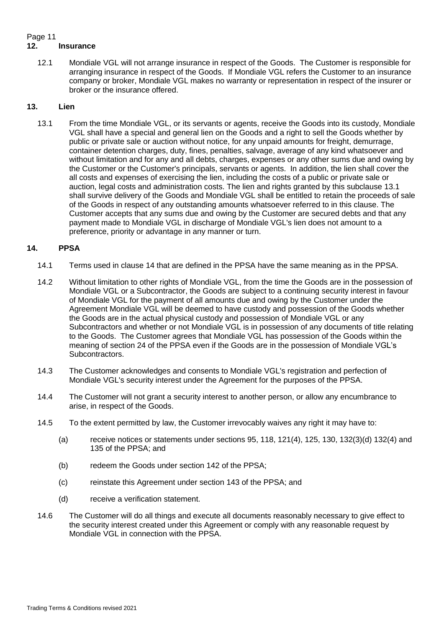#### Page 11 **12. Insurance**

12.1 Mondiale VGL will not arrange insurance in respect of the Goods. The Customer is responsible for arranging insurance in respect of the Goods. If Mondiale VGL refers the Customer to an insurance company or broker, Mondiale VGL makes no warranty or representation in respect of the insurer or broker or the insurance offered.

# <span id="page-10-0"></span>**13. Lien**

<span id="page-10-2"></span>13.1 From the time Mondiale VGL, or its servants or agents, receive the Goods into its custody, Mondiale VGL shall have a special and general lien on the Goods and a right to sell the Goods whether by public or private sale or auction without notice, for any unpaid amounts for freight, demurrage, container detention charges, duty, fines, penalties, salvage, average of any kind whatsoever and without limitation and for any and all debts, charges, expenses or any other sums due and owing by the Customer or the Customer's principals, servants or agents. In addition, the lien shall cover the all costs and expenses of exercising the lien, including the costs of a public or private sale or auction, legal costs and administration costs. The lien and rights granted by this subclause 13.1 shall survive delivery of the Goods and Mondiale VGL shall be entitled to retain the proceeds of sale of the Goods in respect of any outstanding amounts whatsoever referred to in this clause. The Customer accepts that any sums due and owing by the Customer are secured debts and that any payment made to Mondiale VGL in discharge of Mondiale VGL's lien does not amount to a preference, priority or advantage in any manner or turn.

# <span id="page-10-1"></span>**14. PPSA**

- 14.1 Terms used in clause 14 that are defined in the PPSA have the same meaning as in the PPSA.
- 14.2 Without limitation to other rights of Mondiale VGL, from the time the Goods are in the possession of Mondiale VGL or a Subcontractor, the Goods are subject to a continuing security interest in favour of Mondiale VGL for the payment of all amounts due and owing by the Customer under the Agreement Mondiale VGL will be deemed to have custody and possession of the Goods whether the Goods are in the actual physical custody and possession of Mondiale VGL or any Subcontractors and whether or not Mondiale VGL is in possession of any documents of title relating to the Goods. The Customer agrees that Mondiale VGL has possession of the Goods within the meaning of section 24 of the PPSA even if the Goods are in the possession of Mondiale VGL's Subcontractors.
- 14.3 The Customer acknowledges and consents to Mondiale VGL's registration and perfection of Mondiale VGL's security interest under the Agreement for the purposes of the PPSA.
- 14.4 The Customer will not grant a security interest to another person, or allow any encumbrance to arise, in respect of the Goods.
- 14.5 To the extent permitted by law, the Customer irrevocably waives any right it may have to:
	- (a) receive notices or statements under sections  $95, 118, 121(4), 125, 130, 132(3)(d) 132(4)$  and 135 of the PPSA; and
	- (b) redeem the Goods under section 142 of the PPSA;
	- (c) reinstate this Agreement under section 143 of the PPSA; and
	- (d) receive a verification statement.
- 14.6 The Customer will do all things and execute all documents reasonably necessary to give effect to the security interest created under this Agreement or comply with any reasonable request by Mondiale VGL in connection with the PPSA.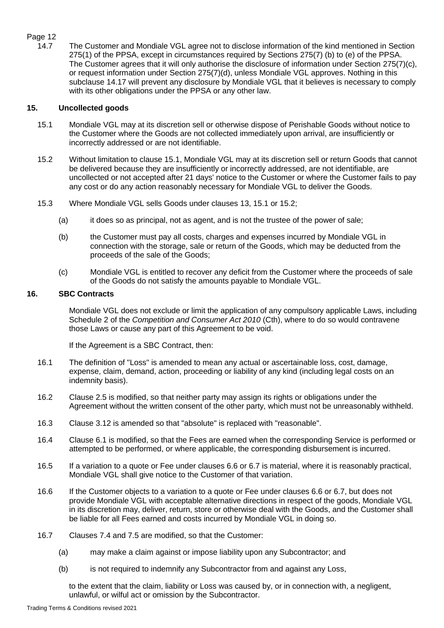# Page 12<br>14.7

The Customer and Mondiale VGL agree not to disclose information of the kind mentioned in Section 275(1) of the PPSA, except in circumstances required by Sections 275(7) (b) to (e) of the PPSA. The Customer agrees that it will only authorise the disclosure of information under Section 275(7)(c), or request information under Section 275(7)(d), unless Mondiale VGL approves. Nothing in this subclause 14.17 will prevent any disclosure by Mondiale VGL that it believes is necessary to comply with its other obligations under the PPSA or any other law.

## <span id="page-11-1"></span>**15. Uncollected goods**

- <span id="page-11-2"></span>15.1 Mondiale VGL may at its discretion sell or otherwise dispose of Perishable Goods without notice to the Customer where the Goods are not collected immediately upon arrival, are insufficiently or incorrectly addressed or are not identifiable.
- <span id="page-11-3"></span>15.2 Without limitation to clause [15.1,](#page-11-2) Mondiale VGL may at its discretion sell or return Goods that cannot be delivered because they are insufficiently or incorrectly addressed, are not identifiable, are uncollected or not accepted after 21 days' notice to the Customer or where the Customer fails to pay any cost or do any action reasonably necessary for Mondiale VGL to deliver the Goods.
- 15.3 Where Mondiale VGL sells Goods under clauses 13, [15.1](#page-11-2) or [15.2;](#page-11-3)
	- (a) it does so as principal, not as agent, and is not the trustee of the power of sale;
	- (b) the Customer must pay all costs, charges and expenses incurred by Mondiale VGL in connection with the storage, sale or return of the Goods, which may be deducted from the proceeds of the sale of the Goods;
	- (c) Mondiale VGL is entitled to recover any deficit from the Customer where the proceeds of sale of the Goods do not satisfy the amounts payable to Mondiale VGL.

# <span id="page-11-0"></span>**16. SBC Contracts**

Mondiale VGL does not exclude or limit the application of any compulsory applicable Laws, including Schedule 2 of the *Competition and Consumer Act 2010* (Cth), where to do so would contravene those Laws or cause any part of this Agreement to be void.

If the Agreement is a SBC Contract, then:

- 16.1 The definition of "Loss" is amended to mean any actual or ascertainable loss, cost, damage, expense, claim, demand, action, proceeding or liability of any kind (including legal costs on an indemnity basis).
- 16.2 Clause [2.5](#page-2-1) is modified, so that neither party may assign its rights or obligations under the Agreement without the written consent of the other party, which must not be unreasonably withheld.
- 16.3 Clause [3.12](#page-3-1) is amended so that "absolute" is replaced with "reasonable".
- 16.4 Clause [6.1](#page-4-0) is modified, so that the Fees are earned when the corresponding Service is performed or attempted to be performed, or where applicable, the corresponding disbursement is incurred.
- 16.5 If a variation to a quote or Fee under clauses [6.6](#page-4-1) or [6.7](#page-4-2) is material, where it is reasonably practical, Mondiale VGL shall give notice to the Customer of that variation.
- 16.6 If the Customer objects to a variation to a quote or Fee under clauses [6.6](#page-4-1) or [6.7,](#page-4-2) but does not provide Mondiale VGL with acceptable alternative directions in respect of the goods, Mondiale VGL in its discretion may, deliver, return, store or otherwise deal with the Goods, and the Customer shall be liable for all Fees earned and costs incurred by Mondiale VGL in doing so.
- 16.7 Clauses [7.4](#page-5-1) and [7.5](#page-5-2) are modified, so that the Customer:
	- (a) may make a claim against or impose liability upon any Subcontractor; and
	- (b) is not required to indemnify any Subcontractor from and against any Loss,

to the extent that the claim, liability or Loss was caused by, or in connection with, a negligent, unlawful, or wilful act or omission by the Subcontractor.